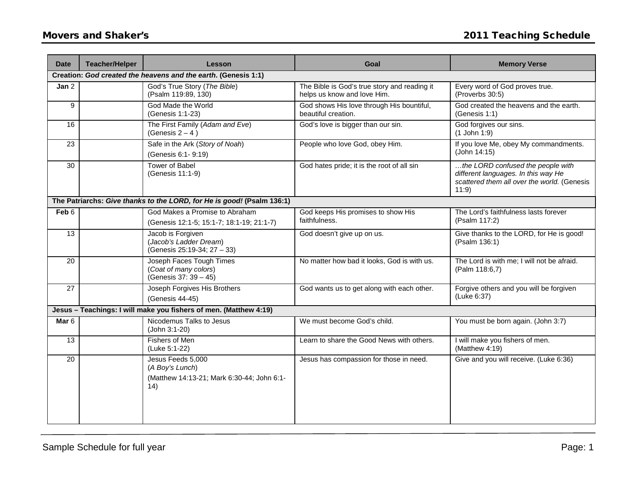| <b>Date</b> | <b>Teacher/Helper</b>                                          | Lesson                                                                                    | Goal                                                                        | <b>Memory Verse</b>                                                                                                             |  |
|-------------|----------------------------------------------------------------|-------------------------------------------------------------------------------------------|-----------------------------------------------------------------------------|---------------------------------------------------------------------------------------------------------------------------------|--|
|             | Creation: God created the heavens and the earth. (Genesis 1:1) |                                                                                           |                                                                             |                                                                                                                                 |  |
| Jan 2       |                                                                | God's True Story (The Bible)<br>(Psalm 119:89, 130)                                       | The Bible is God's true story and reading it<br>helps us know and love Him. | Every word of God proves true.<br>(Proverbs 30:5)                                                                               |  |
| 9           |                                                                | God Made the World<br>(Genesis 1:1-23)                                                    | God shows His love through His bountiful,<br>beautiful creation.            | God created the heavens and the earth.<br>(Genesis 1:1)                                                                         |  |
| 16          |                                                                | The First Family (Adam and Eve)<br>(Genesis $2 - 4$ )                                     | God's love is bigger than our sin.                                          | God forgives our sins.<br>$(1$ John 1:9)                                                                                        |  |
| 23          |                                                                | Safe in the Ark (Story of Noah)<br>(Genesis 6:1-9:19)                                     | People who love God, obey Him.                                              | If you love Me, obey My commandments.<br>(John 14:15)                                                                           |  |
| 30          |                                                                | <b>Tower of Babel</b><br>(Genesis 11:1-9)                                                 | God hates pride; it is the root of all sin                                  | the LORD confused the people with<br>different languages. In this way He<br>scattered them all over the world. (Genesis<br>11:9 |  |
|             |                                                                | The Patriarchs: Give thanks to the LORD, for He is good! (Psalm 136:1)                    |                                                                             |                                                                                                                                 |  |
| Feb 6       |                                                                | God Makes a Promise to Abraham<br>(Genesis 12:1-5; 15:1-7; 18:1-19; 21:1-7)               | God keeps His promises to show His<br>faithfulness.                         | The Lord's faithfulness lasts forever<br>(Psalm 117:2)                                                                          |  |
| 13          |                                                                | Jacob is Forgiven<br>(Jacob's Ladder Dream)<br>(Genesis 25:19-34; 27 - 33)                | God doesn't give up on us.                                                  | Give thanks to the LORD, for He is good!<br>(Psalm 136:1)                                                                       |  |
| 20          |                                                                | Joseph Faces Tough Times<br>(Coat of many colors)<br>(Genesis 37: 39 - 45)                | No matter how bad it looks, God is with us.                                 | The Lord is with me; I will not be afraid.<br>(Palm 118:6,7)                                                                    |  |
| 27          |                                                                | Joseph Forgives His Brothers<br>(Genesis 44-45)                                           | God wants us to get along with each other.                                  | Forgive others and you will be forgiven<br>(Luke 6:37)                                                                          |  |
|             |                                                                | Jesus - Teachings: I will make you fishers of men. (Matthew 4:19)                         |                                                                             |                                                                                                                                 |  |
| Mar 6       |                                                                | Nicodemus Talks to Jesus<br>(John 3:1-20)                                                 | We must become God's child.                                                 | You must be born again. (John 3:7)                                                                                              |  |
| 13          |                                                                | Fishers of Men<br>(Luke 5:1-22)                                                           | Learn to share the Good News with others.                                   | I will make you fishers of men.<br>(Matthew 4:19)                                                                               |  |
| 20          |                                                                | Jesus Feeds 5,000<br>(A Boy's Lunch)<br>(Matthew 14:13-21; Mark 6:30-44; John 6:1-<br>14) | Jesus has compassion for those in need.                                     | Give and you will receive. (Luke 6:36)                                                                                          |  |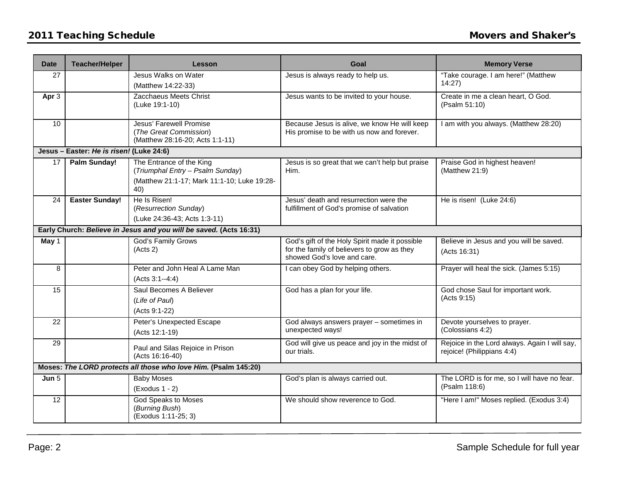| <b>Date</b>     | <b>Teacher/Helper</b>                    | <b>Lesson</b>                                                                                                      | Goal                                                                                                                         | <b>Memory Verse</b>                                                         |
|-----------------|------------------------------------------|--------------------------------------------------------------------------------------------------------------------|------------------------------------------------------------------------------------------------------------------------------|-----------------------------------------------------------------------------|
| 27              |                                          | Jesus Walks on Water<br>(Matthew 14:22-33)                                                                         | Jesus is always ready to help us.                                                                                            | "Take courage. I am here!" (Matthew<br>14:27                                |
| Apr 3           |                                          | Zacchaeus Meets Christ<br>(Luke 19:1-10)                                                                           | Jesus wants to be invited to your house.                                                                                     | Create in me a clean heart, O God.<br>(Psalm 51:10)                         |
| 10              |                                          | Jesus' Farewell Promise<br>(The Great Commission)<br>(Matthew 28:16-20; Acts 1:1-11)                               | Because Jesus is alive, we know He will keep<br>His promise to be with us now and forever.                                   | I am with you always. (Matthew 28:20)                                       |
|                 | Jesus - Easter: He is risen! (Luke 24:6) |                                                                                                                    |                                                                                                                              |                                                                             |
| 17              | Palm Sunday!                             | The Entrance of the King<br>(Triumphal Entry - Psalm Sunday)<br>(Matthew 21:1-17; Mark 11:1-10; Luke 19:28-<br>40) | Jesus is so great that we can't help but praise<br>Him.                                                                      | Praise God in highest heaven!<br>(Matthew $21:9$ )                          |
| 24              | <b>Easter Sunday!</b>                    | He Is Risen!<br>(Resurrection Sunday)<br>(Luke 24:36-43; Acts 1:3-11)                                              | Jesus' death and resurrection were the<br>fulfillment of God's promise of salvation                                          | He is risen! (Luke 24:6)                                                    |
|                 |                                          | Early Church: Believe in Jesus and you will be saved. (Acts 16:31)                                                 |                                                                                                                              |                                                                             |
| May 1           |                                          | God's Family Grows<br>(Acts 2)                                                                                     | God's gift of the Holy Spirit made it possible<br>for the family of believers to grow as they<br>showed God's love and care. | Believe in Jesus and you will be saved.<br>(Acts 16:31)                     |
| 8               |                                          | Peter and John Heal A Lame Man<br>$(Acts 3:1--4:4)$                                                                | I can obey God by helping others.                                                                                            | Prayer will heal the sick. (James 5:15)                                     |
| 15              |                                          | Saul Becomes A Believer<br>(Life of Paul)<br>(Acts 9:1-22)                                                         | God has a plan for your life.                                                                                                | God chose Saul for important work.<br>(Acts 9:15)                           |
| $\overline{22}$ |                                          | Peter's Unexpected Escape<br>(Acts 12:1-19)                                                                        | God always answers prayer - sometimes in<br>unexpected ways!                                                                 | Devote yourselves to prayer.<br>(Colossians 4:2)                            |
| 29              |                                          | Paul and Silas Rejoice in Prison<br>(Acts 16:16-40)                                                                | God will give us peace and joy in the midst of<br>our trials.                                                                | Rejoice in the Lord always. Again I will say,<br>rejoice! (Philippians 4:4) |
|                 |                                          | Moses: The LORD protects all those who love Him. (Psalm 145:20)                                                    |                                                                                                                              |                                                                             |
| Jun 5           |                                          | <b>Baby Moses</b><br>(Exodus 1 - 2)                                                                                | God's plan is always carried out.                                                                                            | The LORD is for me, so I will have no fear.<br>(Psalm 118:6)                |
| $\overline{12}$ |                                          | <b>God Speaks to Moses</b><br>(Burning Bush)<br>(Exodus 1:11-25; 3)                                                | We should show reverence to God.                                                                                             | "Here I am!" Moses replied. (Exodus 3:4)                                    |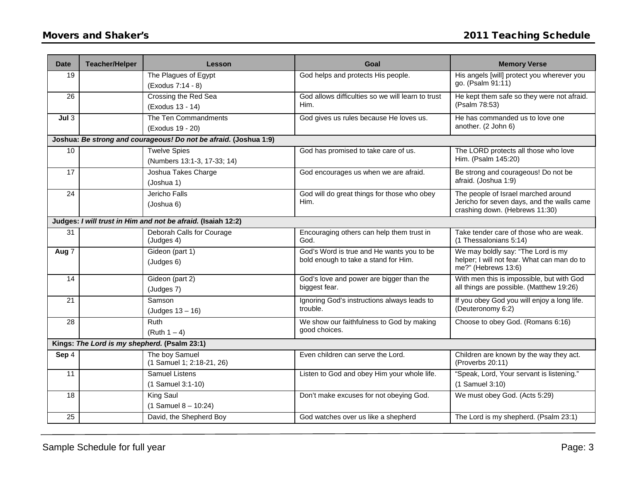| Date             | <b>Teacher/Helper</b>                        | Lesson                                                           | Goal                                                      | <b>Memory Verse</b>                                                |  |
|------------------|----------------------------------------------|------------------------------------------------------------------|-----------------------------------------------------------|--------------------------------------------------------------------|--|
| 19               |                                              | The Plagues of Egypt                                             | God helps and protects His people.                        | His angels [will] protect you wherever you<br>go. (Psalm 91:11)    |  |
|                  |                                              | (Exodus 7:14 - 8)                                                |                                                           |                                                                    |  |
| 26               |                                              | Crossing the Red Sea                                             | God allows difficulties so we will learn to trust<br>Him. | He kept them safe so they were not afraid.<br>(Psalm 78:53)        |  |
|                  |                                              | (Exodus 13 - 14)                                                 |                                                           |                                                                    |  |
| Jul <sub>3</sub> |                                              | The Ten Commandments                                             | God gives us rules because He loves us.                   | He has commanded us to love one<br>another. (2 John 6)             |  |
|                  |                                              | (Exodus 19 - 20)                                                 |                                                           |                                                                    |  |
|                  |                                              | Joshua: Be strong and courageous! Do not be afraid. (Joshua 1:9) |                                                           |                                                                    |  |
| 10               |                                              | <b>Twelve Spies</b>                                              | God has promised to take care of us.                      | The LORD protects all those who love                               |  |
|                  |                                              | (Numbers 13:1-3, 17-33; 14)                                      |                                                           | Him. (Psalm 145:20)                                                |  |
| 17               |                                              | Joshua Takes Charge                                              | God encourages us when we are afraid.                     | Be strong and courageous! Do not be                                |  |
|                  |                                              | (Joshua 1)                                                       |                                                           | afraid. (Joshua 1:9)                                               |  |
| 24               |                                              | Jericho Falls                                                    | God will do great things for those who obey               | The people of Israel marched around                                |  |
|                  |                                              | (Joshua 6)                                                       | Him.                                                      | Jericho for seven days, and the walls came                         |  |
|                  |                                              |                                                                  |                                                           | crashing down. (Hebrews 11:30)                                     |  |
|                  |                                              | Judges: I will trust in Him and not be afraid. (Isaiah 12:2)     |                                                           |                                                                    |  |
| 31               |                                              | Deborah Calls for Courage<br>(Judges 4)                          | Encouraging others can help them trust in<br>God.         | Take tender care of those who are weak.<br>(1 Thessalonians 5:14)  |  |
| Aug 7            |                                              | Gideon (part 1)                                                  | God's Word is true and He wants you to be                 | We may boldly say: "The Lord is my                                 |  |
|                  |                                              | (Judges 6)                                                       | bold enough to take a stand for Him.                      | helper; I will not fear. What can man do to<br>me?" (Hebrews 13:6) |  |
| 14               |                                              | Gideon (part 2)                                                  | God's love and power are bigger than the                  | With men this is impossible, but with God                          |  |
|                  |                                              | (Judges 7)                                                       | biggest fear.                                             | all things are possible. (Matthew 19:26)                           |  |
| 21               |                                              | Samson                                                           | Ignoring God's instructions always leads to<br>trouble.   | If you obey God you will enjoy a long life.<br>(Deuteronomy 6:2)   |  |
|                  |                                              | $(Judges 13 - 16)$                                               |                                                           |                                                                    |  |
| 28               |                                              | Ruth                                                             | We show our faithfulness to God by making                 | Choose to obey God. (Romans 6:16)                                  |  |
|                  |                                              | (Ruth 1 – 4)                                                     | good choices.                                             |                                                                    |  |
|                  | Kings: The Lord is my shepherd. (Psalm 23:1) |                                                                  |                                                           |                                                                    |  |
| Sep 4            |                                              | The boy Samuel                                                   | Even children can serve the Lord.                         | Children are known by the way they act.                            |  |
|                  |                                              | (1 Samuel 1; 2:18-21, 26)                                        |                                                           | (Proverbs 20:11)                                                   |  |
| 11               |                                              | <b>Samuel Listens</b>                                            | Listen to God and obey Him your whole life.               | "Speak, Lord, Your servant is listening."                          |  |
|                  |                                              | (1 Samuel 3:1-10)                                                |                                                           | $(1$ Samuel $3:10$ )                                               |  |
| $\overline{18}$  |                                              | King Saul                                                        | Don't make excuses for not obeying God.                   | We must obey God. (Acts 5:29)                                      |  |
|                  |                                              | $(1$ Samuel $8 - 10:24)$                                         |                                                           |                                                                    |  |
| $\overline{25}$  |                                              | David, the Shepherd Boy                                          | God watches over us like a shepherd                       | The Lord is my shepherd. (Psalm 23:1)                              |  |